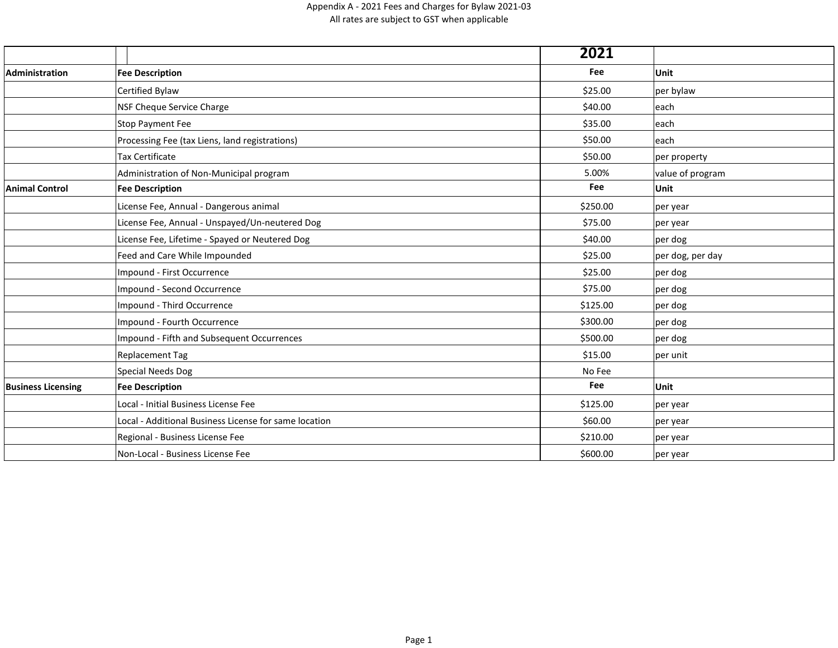|                           |                                                       | 2021     |                  |
|---------------------------|-------------------------------------------------------|----------|------------------|
| Administration            | <b>Fee Description</b>                                | Fee      | Unit             |
|                           | Certified Bylaw                                       | \$25.00  | per bylaw        |
|                           | NSF Cheque Service Charge                             | \$40.00  | each             |
|                           | <b>Stop Payment Fee</b>                               | \$35.00  | each             |
|                           | Processing Fee (tax Liens, land registrations)        | \$50.00  | each             |
|                           | Tax Certificate                                       | \$50.00  | per property     |
|                           | Administration of Non-Municipal program               | 5.00%    | value of program |
| <b>Animal Control</b>     | <b>Fee Description</b>                                | Fee      | Unit             |
|                           | License Fee, Annual - Dangerous animal                | \$250.00 | per year         |
|                           | License Fee, Annual - Unspayed/Un-neutered Dog        | \$75.00  | per year         |
|                           | License Fee, Lifetime - Spayed or Neutered Dog        | \$40.00  | $ per\,$ dog     |
|                           | Feed and Care While Impounded                         | \$25.00  | per dog, per day |
|                           | Impound - First Occurrence                            | \$25.00  | $ per\,$ dog     |
|                           | Impound - Second Occurrence                           | \$75.00  | $ per$ dog       |
|                           | Impound - Third Occurrence                            | \$125.00 | $ per$ dog       |
|                           | Impound - Fourth Occurrence                           | \$300.00 | $ per$ dog       |
|                           | Impound - Fifth and Subsequent Occurrences            | \$500.00 | $ per$ dog       |
|                           | <b>Replacement Tag</b>                                | \$15.00  | per unit         |
|                           | <b>Special Needs Dog</b>                              | No Fee   |                  |
| <b>Business Licensing</b> | <b>Fee Description</b>                                | Fee      | Unit             |
|                           | Local - Initial Business License Fee                  | \$125.00 | per year         |
|                           | Local - Additional Business License for same location | \$60.00  | $ per\>year$     |
|                           | Regional - Business License Fee                       | \$210.00 | per year         |
|                           | Non-Local - Business License Fee                      | \$600.00 | per year         |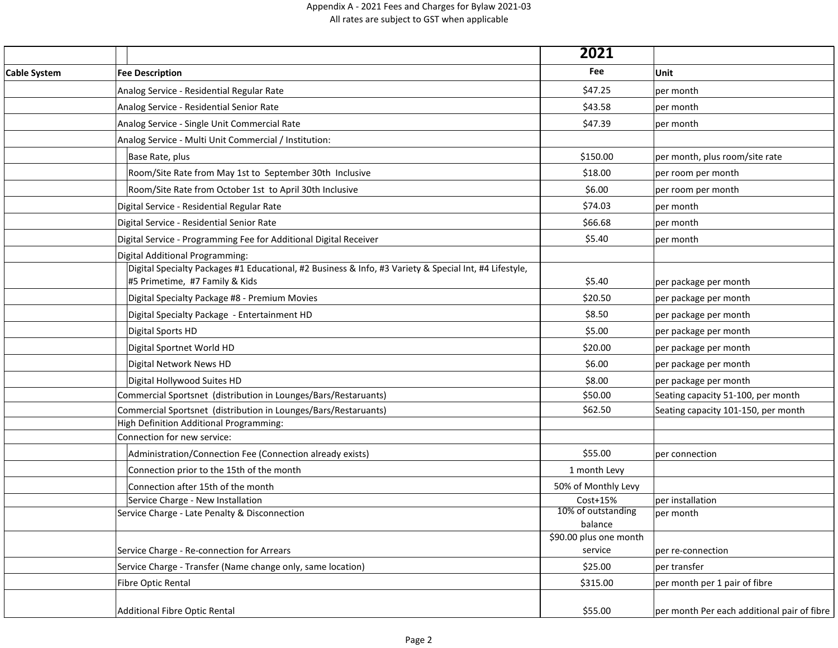|                     |                                                                                                                                          | 2021                              |                                             |
|---------------------|------------------------------------------------------------------------------------------------------------------------------------------|-----------------------------------|---------------------------------------------|
| <b>Cable System</b> | <b>Fee Description</b>                                                                                                                   | Fee                               | Unit                                        |
|                     | Analog Service - Residential Regular Rate                                                                                                | \$47.25                           | per month                                   |
|                     | Analog Service - Residential Senior Rate                                                                                                 | \$43.58                           | per month                                   |
|                     | Analog Service - Single Unit Commercial Rate                                                                                             | \$47.39                           | per month                                   |
|                     | Analog Service - Multi Unit Commercial / Institution:                                                                                    |                                   |                                             |
|                     | Base Rate, plus                                                                                                                          | \$150.00                          | per month, plus room/site rate              |
|                     | Room/Site Rate from May 1st to September 30th Inclusive                                                                                  | \$18.00                           | per room per month                          |
|                     | Room/Site Rate from October 1st to April 30th Inclusive                                                                                  | \$6.00                            | per room per month                          |
|                     | Digital Service - Residential Regular Rate                                                                                               | \$74.03                           | per month                                   |
|                     | Digital Service - Residential Senior Rate                                                                                                | \$66.68                           | per month                                   |
|                     | Digital Service - Programming Fee for Additional Digital Receiver                                                                        | \$5.40                            | per month                                   |
|                     | Digital Additional Programming:                                                                                                          |                                   |                                             |
|                     | Digital Specialty Packages #1 Educational, #2 Business & Info, #3 Variety & Special Int, #4 Lifestyle,<br>#5 Primetime, #7 Family & Kids | \$5.40                            | per package per month                       |
|                     | Digital Specialty Package #8 - Premium Movies                                                                                            | \$20.50                           | per package per month                       |
|                     | Digital Specialty Package - Entertainment HD                                                                                             | \$8.50                            | per package per month                       |
|                     | Digital Sports HD                                                                                                                        | \$5.00                            | per package per month                       |
|                     | Digital Sportnet World HD                                                                                                                | \$20.00                           | per package per month                       |
|                     | Digital Network News HD                                                                                                                  | \$6.00                            | per package per month                       |
|                     | Digital Hollywood Suites HD                                                                                                              | \$8.00                            | per package per month                       |
|                     | Commercial Sportsnet (distribution in Lounges/Bars/Restaruants)                                                                          | \$50.00                           | Seating capacity 51-100, per month          |
|                     | Commercial Sportsnet (distribution in Lounges/Bars/Restaruants)                                                                          | \$62.50                           | Seating capacity 101-150, per month         |
|                     | High Definition Additional Programming:                                                                                                  |                                   |                                             |
|                     | Connection for new service:                                                                                                              |                                   |                                             |
|                     | Administration/Connection Fee (Connection already exists)                                                                                | \$55.00                           | per connection                              |
|                     | Connection prior to the 15th of the month                                                                                                | 1 month Levy                      |                                             |
|                     | Connection after 15th of the month<br>Service Charge - New Installation                                                                  | 50% of Monthly Levy<br>Cost+15%   | per installation                            |
|                     | Service Charge - Late Penalty & Disconnection                                                                                            | 10% of outstanding                | per month                                   |
|                     |                                                                                                                                          | balance                           |                                             |
|                     | Service Charge - Re-connection for Arrears                                                                                               | \$90.00 plus one month<br>service | per re-connection                           |
|                     | Service Charge - Transfer (Name change only, same location)                                                                              | \$25.00                           | per transfer                                |
|                     | <b>Fibre Optic Rental</b>                                                                                                                | \$315.00                          | per month per 1 pair of fibre               |
|                     |                                                                                                                                          |                                   |                                             |
|                     | Additional Fibre Optic Rental                                                                                                            | \$55.00                           | per month Per each additional pair of fibre |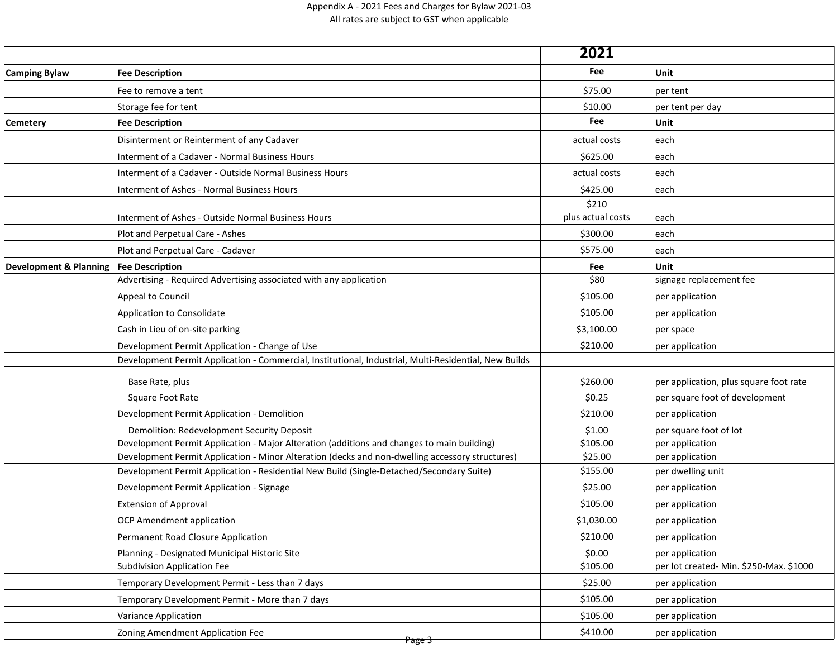|                                          |                                                                                                       | 2021              |                                         |
|------------------------------------------|-------------------------------------------------------------------------------------------------------|-------------------|-----------------------------------------|
| <b>Camping Bylaw</b>                     | <b>Fee Description</b>                                                                                | Fee               | Unit                                    |
|                                          | Fee to remove a tent                                                                                  | \$75.00           | per tent                                |
|                                          | Storage fee for tent                                                                                  | \$10.00           | per tent per day                        |
| <b>Cemetery</b>                          | <b>Fee Description</b>                                                                                | Fee               | Unit                                    |
|                                          | Disinterment or Reinterment of any Cadaver                                                            | actual costs      | $ $ each                                |
|                                          | Interment of a Cadaver - Normal Business Hours                                                        | \$625.00          | $ $ each                                |
|                                          | Interment of a Cadaver - Outside Normal Business Hours                                                | actual costs      | $ $ each                                |
|                                          | Interment of Ashes - Normal Business Hours                                                            | \$425.00          | $ $ each                                |
|                                          |                                                                                                       | \$210             |                                         |
|                                          | Interment of Ashes - Outside Normal Business Hours                                                    | plus actual costs | each                                    |
|                                          | Plot and Perpetual Care - Ashes                                                                       | \$300.00          | $ $ each                                |
|                                          | Plot and Perpetual Care - Cadaver                                                                     | \$575.00          | $ $ each                                |
| Development & Planning   Fee Description |                                                                                                       | Fee               | <b>Unit</b>                             |
|                                          | Advertising - Required Advertising associated with any application                                    | \$80              | signage replacement fee                 |
|                                          | Appeal to Council                                                                                     | \$105.00          | per application                         |
|                                          | Application to Consolidate                                                                            | \$105.00          | per application                         |
|                                          | Cash in Lieu of on-site parking                                                                       | \$3,100.00        | per space                               |
|                                          | Development Permit Application - Change of Use                                                        | \$210.00          | per application                         |
|                                          | Development Permit Application - Commercial, Institutional, Industrial, Multi-Residential, New Builds |                   |                                         |
|                                          | Base Rate, plus                                                                                       | \$260.00          | per application, plus square foot rate  |
|                                          | Square Foot Rate                                                                                      | \$0.25            | per square foot of development          |
|                                          | Development Permit Application - Demolition                                                           | \$210.00          | per application                         |
|                                          | Demolition: Redevelopment Security Deposit                                                            | \$1.00            | per square foot of lot                  |
|                                          | Development Permit Application - Major Alteration (additions and changes to main building)            | \$105.00          | per application                         |
|                                          | Development Permit Application - Minor Alteration (decks and non-dwelling accessory structures)       | \$25.00           | per application                         |
|                                          | Development Permit Application - Residential New Build (Single-Detached/Secondary Suite)              | \$155.00          | per dwelling unit                       |
|                                          | Development Permit Application - Signage                                                              | \$25.00           | per application                         |
|                                          | <b>Extension of Approval</b>                                                                          | \$105.00          | per application                         |
|                                          | <b>OCP Amendment application</b>                                                                      | \$1,030.00        | per application                         |
|                                          | Permanent Road Closure Application                                                                    | \$210.00          | per application                         |
|                                          | Planning - Designated Municipal Historic Site                                                         | \$0.00            | per application                         |
|                                          | Subdivision Application Fee                                                                           | \$105.00          | per lot created- Min. \$250-Max. \$1000 |
|                                          | Temporary Development Permit - Less than 7 days                                                       | \$25.00           | per application                         |
|                                          | Temporary Development Permit - More than 7 days                                                       | \$105.00          | per application                         |
|                                          | <b>Variance Application</b>                                                                           | \$105.00          | per application                         |
|                                          | Zoning Amendment Application Fee                                                                      | \$410.00          | per application                         |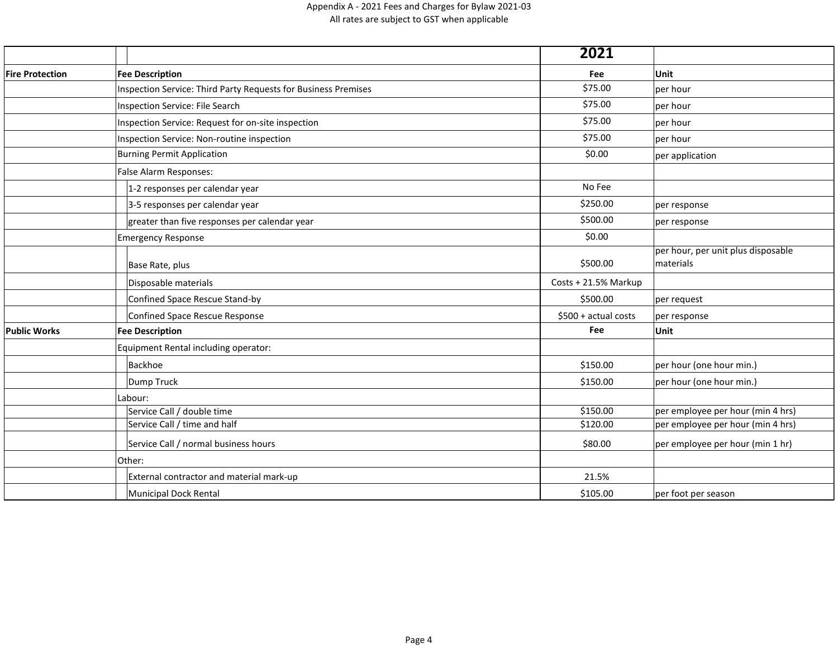|                        |                                                                       | 2021                  |                                                 |
|------------------------|-----------------------------------------------------------------------|-----------------------|-------------------------------------------------|
| <b>Fire Protection</b> | <b>Fee Description</b>                                                | Fee                   | Unit                                            |
|                        | <b>Inspection Service: Third Party Requests for Business Premises</b> | \$75.00               | per hour                                        |
|                        | Inspection Service: File Search                                       | \$75.00               | per hour                                        |
|                        | Inspection Service: Request for on-site inspection                    | \$75.00               | per hour                                        |
|                        | Inspection Service: Non-routine inspection                            | \$75.00               | per hour                                        |
|                        | <b>Burning Permit Application</b>                                     | \$0.00                | per application                                 |
|                        | False Alarm Responses:                                                |                       |                                                 |
|                        | 1-2 responses per calendar year                                       | No Fee                |                                                 |
|                        | 3-5 responses per calendar year                                       | \$250.00              | per response                                    |
|                        | greater than five responses per calendar year                         | \$500.00              | per response                                    |
|                        | <b>Emergency Response</b>                                             | \$0.00                |                                                 |
|                        | Base Rate, plus                                                       | \$500.00              | per hour, per unit plus disposable<br>materials |
|                        | Disposable materials                                                  | Costs + 21.5% Markup  |                                                 |
|                        | Confined Space Rescue Stand-by                                        | \$500.00              | per request                                     |
|                        | Confined Space Rescue Response                                        | $$500 + actual costs$ | per response                                    |
| <b>Public Works</b>    | <b>Fee Description</b>                                                | Fee                   | Unit                                            |
|                        | Equipment Rental including operator:                                  |                       |                                                 |
|                        | Backhoe                                                               | \$150.00              | per hour (one hour min.)                        |
|                        | Dump Truck                                                            | \$150.00              | per hour (one hour min.)                        |
|                        | Labour:                                                               |                       |                                                 |
|                        | Service Call / double time                                            | \$150.00              | per employee per hour (min 4 hrs)               |
|                        | Service Call / time and half                                          | \$120.00              | per employee per hour (min 4 hrs)               |
|                        | Service Call / normal business hours                                  | \$80.00               | per employee per hour (min 1 hr)                |
|                        | Other:                                                                |                       |                                                 |
|                        | External contractor and material mark-up                              | 21.5%                 |                                                 |
|                        | Municipal Dock Rental                                                 | \$105.00              | per foot per season                             |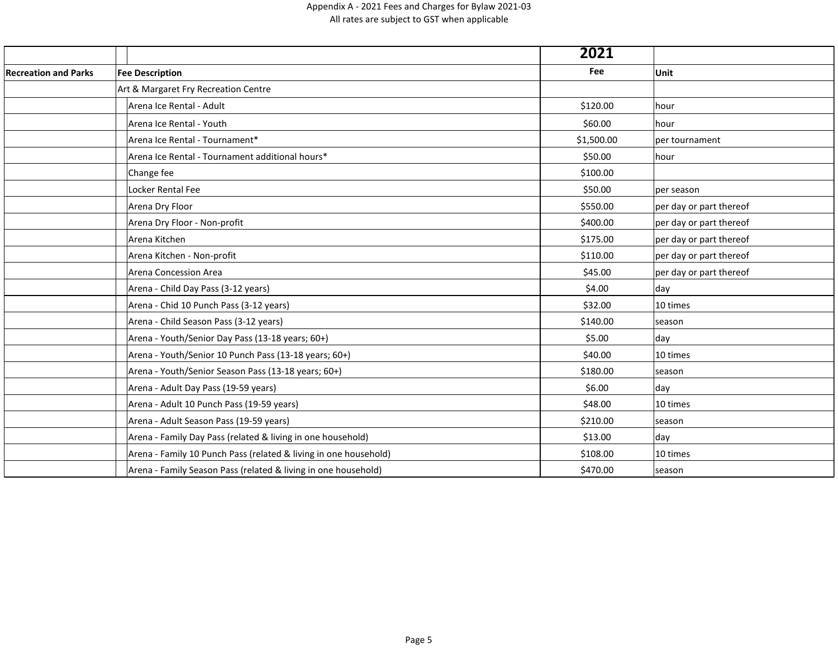|                             |                                                                  | 2021       |                         |
|-----------------------------|------------------------------------------------------------------|------------|-------------------------|
| <b>Recreation and Parks</b> | <b>Fee Description</b>                                           | Fee        | Unit                    |
|                             | Art & Margaret Fry Recreation Centre                             |            |                         |
|                             | Arena Ice Rental - Adult                                         | \$120.00   | hour                    |
|                             | Arena Ice Rental - Youth                                         | \$60.00    | hour                    |
|                             | Arena Ice Rental - Tournament*                                   | \$1,500.00 | per tournament          |
|                             | Arena Ice Rental - Tournament additional hours*                  | \$50.00    | hour                    |
|                             | Change fee                                                       | \$100.00   |                         |
|                             | Locker Rental Fee                                                | \$50.00    | per season              |
|                             | Arena Dry Floor                                                  | \$550.00   | per day or part thereof |
|                             | Arena Dry Floor - Non-profit                                     | \$400.00   | per day or part thereof |
|                             | Arena Kitchen                                                    | \$175.00   | per day or part thereof |
|                             | Arena Kitchen - Non-profit                                       | \$110.00   | per day or part thereof |
|                             | Arena Concession Area                                            | \$45.00    | per day or part thereof |
|                             | Arena - Child Day Pass (3-12 years)                              | \$4.00     | day                     |
|                             | Arena - Chid 10 Punch Pass (3-12 years)                          | \$32.00    | 10 times                |
|                             | Arena - Child Season Pass (3-12 years)                           | \$140.00   | season                  |
|                             | Arena - Youth/Senior Day Pass (13-18 years; 60+)                 | \$5.00     | day                     |
|                             | Arena - Youth/Senior 10 Punch Pass (13-18 years; 60+)            | \$40.00    | 10 times                |
|                             | Arena - Youth/Senior Season Pass (13-18 years; 60+)              | \$180.00   | season                  |
|                             | Arena - Adult Day Pass (19-59 years)                             | \$6.00     | day                     |
|                             | Arena - Adult 10 Punch Pass (19-59 years)                        | \$48.00    | 10 times                |
|                             | Arena - Adult Season Pass (19-59 years)                          | \$210.00   | season                  |
|                             | Arena - Family Day Pass (related & living in one household)      | \$13.00    | day                     |
|                             | Arena - Family 10 Punch Pass (related & living in one household) | \$108.00   | 10 times                |
|                             | Arena - Family Season Pass (related & living in one household)   | \$470.00   | season                  |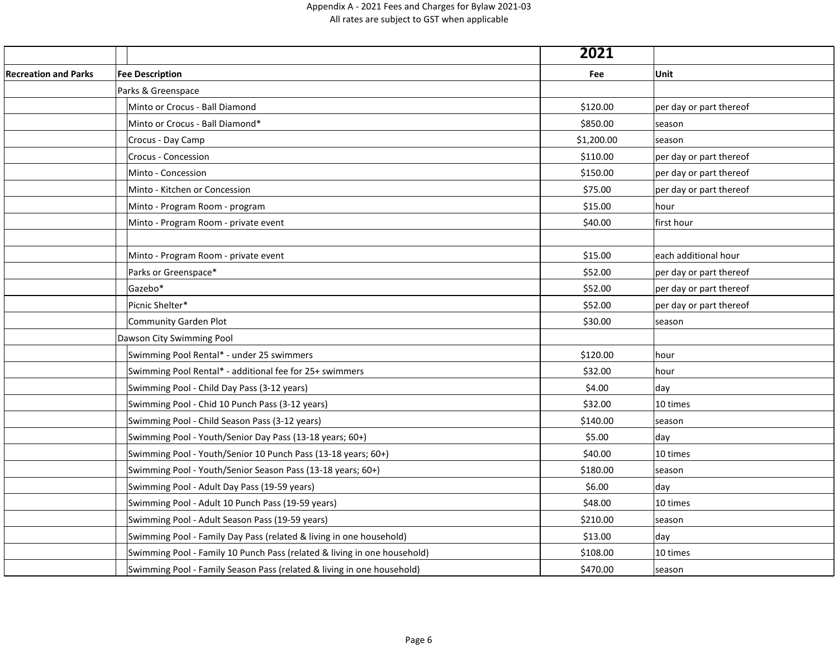|                             |                                                                          | 2021       |                         |
|-----------------------------|--------------------------------------------------------------------------|------------|-------------------------|
| <b>Recreation and Parks</b> | <b>Fee Description</b>                                                   | Fee        | Unit                    |
|                             | Parks & Greenspace                                                       |            |                         |
|                             | Minto or Crocus - Ball Diamond                                           | \$120.00   | per day or part thereof |
|                             | Minto or Crocus - Ball Diamond*                                          | \$850.00   | season                  |
|                             | Crocus - Day Camp                                                        | \$1,200.00 | season                  |
|                             | <b>Crocus - Concession</b>                                               | \$110.00   | per day or part thereof |
|                             | Minto - Concession                                                       | \$150.00   | per day or part thereof |
|                             | Minto - Kitchen or Concession                                            | \$75.00    | per day or part thereof |
|                             | Minto - Program Room - program                                           | \$15.00    | hour                    |
|                             | Minto - Program Room - private event                                     | \$40.00    | first hour              |
|                             |                                                                          |            |                         |
|                             | Minto - Program Room - private event                                     | \$15.00    | each additional hour    |
|                             | Parks or Greenspace*                                                     | \$52.00    | per day or part thereof |
|                             | Gazebo*                                                                  | \$52.00    | per day or part thereof |
|                             | Picnic Shelter*                                                          | \$52.00    | per day or part thereof |
|                             | Community Garden Plot                                                    | \$30.00    | season                  |
|                             | Dawson City Swimming Pool                                                |            |                         |
|                             | Swimming Pool Rental* - under 25 swimmers                                | \$120.00   | hour                    |
|                             | Swimming Pool Rental* - additional fee for 25+ swimmers                  | \$32.00    | hour                    |
|                             | Swimming Pool - Child Day Pass (3-12 years)                              | \$4.00     | day                     |
|                             | Swimming Pool - Chid 10 Punch Pass (3-12 years)                          | \$32.00    | 10 times                |
|                             | Swimming Pool - Child Season Pass (3-12 years)                           | \$140.00   | season                  |
|                             | Swimming Pool - Youth/Senior Day Pass (13-18 years; 60+)                 | \$5.00     | day                     |
|                             | Swimming Pool - Youth/Senior 10 Punch Pass (13-18 years; 60+)            | \$40.00    | 10 times                |
|                             | Swimming Pool - Youth/Senior Season Pass (13-18 years; 60+)              | \$180.00   | season                  |
|                             | Swimming Pool - Adult Day Pass (19-59 years)                             | \$6.00     | day                     |
|                             | Swimming Pool - Adult 10 Punch Pass (19-59 years)                        | \$48.00    | 10 times                |
|                             | Swimming Pool - Adult Season Pass (19-59 years)                          | \$210.00   | season                  |
|                             | Swimming Pool - Family Day Pass (related & living in one household)      | \$13.00    | day                     |
|                             | Swimming Pool - Family 10 Punch Pass (related & living in one household) | \$108.00   | 10 times                |
|                             | Swimming Pool - Family Season Pass (related & living in one household)   | \$470.00   | season                  |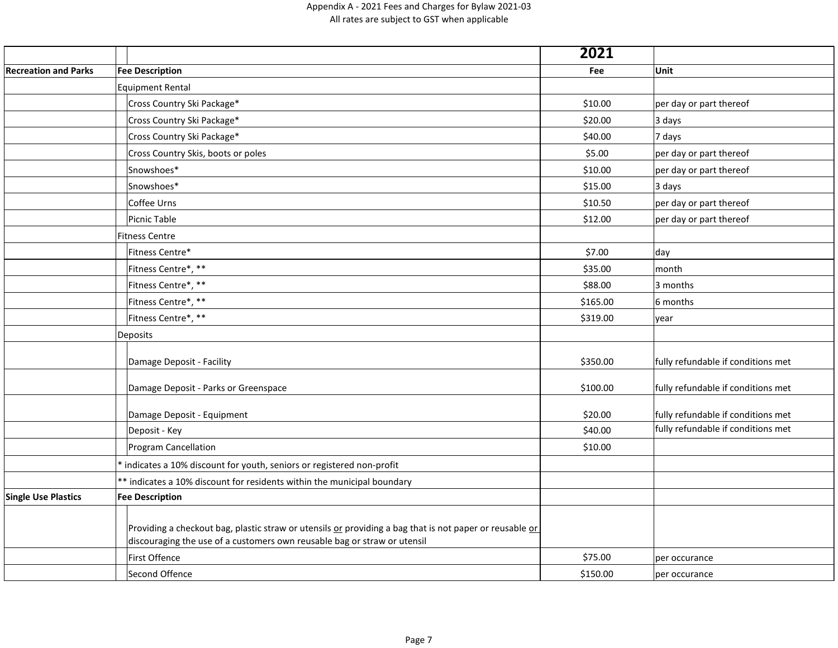|                             |                                                                                                                                                                                     | 2021     |                                    |
|-----------------------------|-------------------------------------------------------------------------------------------------------------------------------------------------------------------------------------|----------|------------------------------------|
| <b>Recreation and Parks</b> | <b>Fee Description</b>                                                                                                                                                              | Fee      | Unit                               |
|                             | <b>Equipment Rental</b>                                                                                                                                                             |          |                                    |
|                             | Cross Country Ski Package*                                                                                                                                                          | \$10.00  | per day or part thereof            |
|                             | Cross Country Ski Package*                                                                                                                                                          | \$20.00  | 3 days                             |
|                             | Cross Country Ski Package*                                                                                                                                                          | \$40.00  | 7 days                             |
|                             | Cross Country Skis, boots or poles                                                                                                                                                  | \$5.00   | per day or part thereof            |
|                             | Snowshoes*                                                                                                                                                                          | \$10.00  | per day or part thereof            |
|                             | Snowshoes*                                                                                                                                                                          | \$15.00  | 3 days                             |
|                             | Coffee Urns                                                                                                                                                                         | \$10.50  | per day or part thereof            |
|                             | Picnic Table                                                                                                                                                                        | \$12.00  | per day or part thereof            |
|                             | <b>Fitness Centre</b>                                                                                                                                                               |          |                                    |
|                             | Fitness Centre*                                                                                                                                                                     | \$7.00   | day                                |
|                             | Fitness Centre*, **                                                                                                                                                                 | \$35.00  | month                              |
|                             | Fitness Centre*, **                                                                                                                                                                 | \$88.00  | 3 months                           |
|                             | Fitness Centre*, **                                                                                                                                                                 | \$165.00 | 6 months                           |
|                             | Fitness Centre*, **                                                                                                                                                                 | \$319.00 | year                               |
|                             | Deposits                                                                                                                                                                            |          |                                    |
|                             | Damage Deposit - Facility                                                                                                                                                           | \$350.00 | fully refundable if conditions met |
|                             | Damage Deposit - Parks or Greenspace                                                                                                                                                | \$100.00 | fully refundable if conditions met |
|                             | Damage Deposit - Equipment                                                                                                                                                          | \$20.00  | fully refundable if conditions met |
|                             | Deposit - Key                                                                                                                                                                       | \$40.00  | fully refundable if conditions met |
|                             | <b>Program Cancellation</b>                                                                                                                                                         | \$10.00  |                                    |
|                             | * indicates a 10% discount for youth, seniors or registered non-profit                                                                                                              |          |                                    |
|                             | ** indicates a 10% discount for residents within the municipal boundary                                                                                                             |          |                                    |
| <b>Single Use Plastics</b>  | <b>Fee Description</b>                                                                                                                                                              |          |                                    |
|                             | Providing a checkout bag, plastic straw or utensils or providing a bag that is not paper or reusable or<br>discouraging the use of a customers own reusable bag or straw or utensil |          |                                    |
|                             | First Offence                                                                                                                                                                       | \$75.00  | per occurance                      |
|                             | Second Offence                                                                                                                                                                      | \$150.00 | per occurance                      |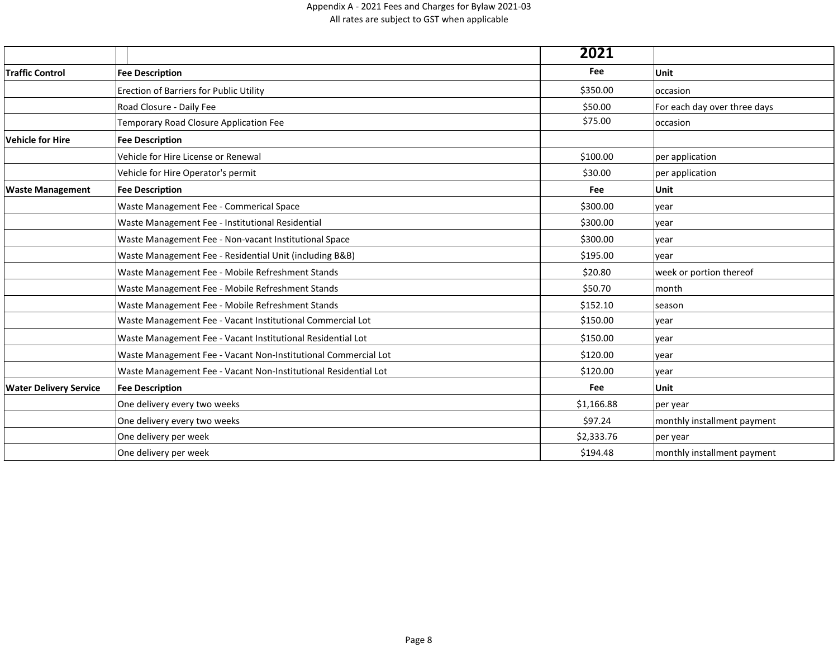|                               |                                                                 | 2021       |                              |
|-------------------------------|-----------------------------------------------------------------|------------|------------------------------|
| <b>Traffic Control</b>        | <b>Fee Description</b>                                          | Fee        | <b>Unit</b>                  |
|                               | Erection of Barriers for Public Utility                         | \$350.00   | occasion                     |
|                               | Road Closure - Daily Fee                                        | \$50.00    | For each day over three days |
|                               | Temporary Road Closure Application Fee                          | \$75.00    | occasion                     |
| <b>Vehicle for Hire</b>       | <b>Fee Description</b>                                          |            |                              |
|                               | Vehicle for Hire License or Renewal                             | \$100.00   | per application              |
|                               | Vehicle for Hire Operator's permit                              | \$30.00    | per application              |
| <b>Waste Management</b>       | <b>Fee Description</b>                                          | Fee        | Unit                         |
|                               | Waste Management Fee - Commerical Space                         | \$300.00   | year                         |
|                               | Waste Management Fee - Institutional Residential                | \$300.00   | year                         |
|                               | Waste Management Fee - Non-vacant Institutional Space           | \$300.00   | year                         |
|                               | Waste Management Fee - Residential Unit (including B&B)         | \$195.00   | vear                         |
|                               | Waste Management Fee - Mobile Refreshment Stands                | \$20.80    | week or portion thereof      |
|                               | Waste Management Fee - Mobile Refreshment Stands                | \$50.70    | month                        |
|                               | Waste Management Fee - Mobile Refreshment Stands                | \$152.10   | season                       |
|                               | Waste Management Fee - Vacant Institutional Commercial Lot      | \$150.00   | year                         |
|                               | Waste Management Fee - Vacant Institutional Residential Lot     | \$150.00   | year                         |
|                               | Waste Management Fee - Vacant Non-Institutional Commercial Lot  | \$120.00   | year                         |
|                               | Waste Management Fee - Vacant Non-Institutional Residential Lot | \$120.00   | year                         |
| <b>Water Delivery Service</b> | <b>Fee Description</b>                                          | Fee        | Unit                         |
|                               | One delivery every two weeks                                    | \$1,166.88 | per year                     |
|                               | One delivery every two weeks                                    | \$97.24    | monthly installment payment  |
|                               | One delivery per week                                           | \$2,333.76 | per year                     |
|                               | One delivery per week                                           | \$194.48   | monthly installment payment  |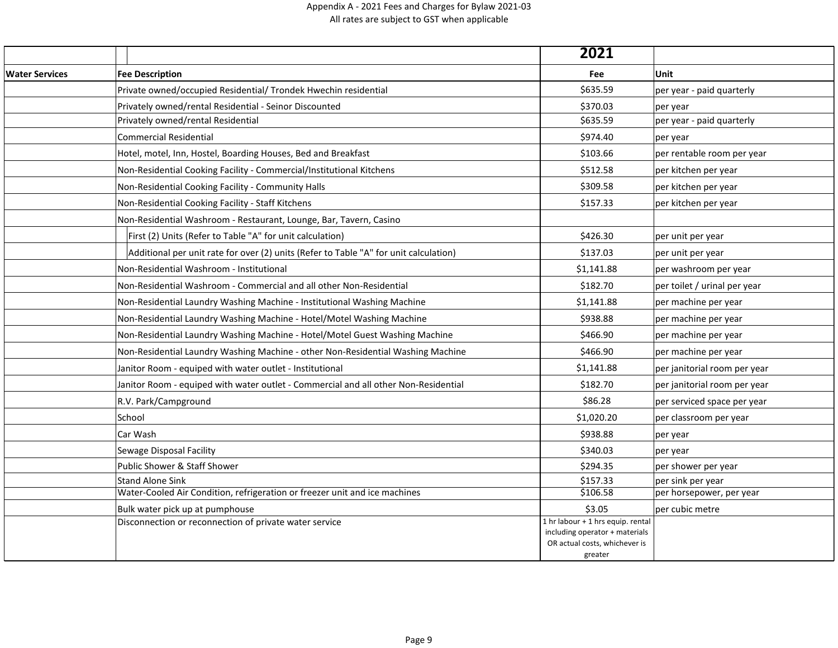|                       |                                                                                       | 2021                                                            |                              |
|-----------------------|---------------------------------------------------------------------------------------|-----------------------------------------------------------------|------------------------------|
| <b>Water Services</b> | <b>Fee Description</b>                                                                | Fee                                                             | Unit                         |
|                       | Private owned/occupied Residential/ Trondek Hwechin residential                       | \$635.59                                                        | per year - paid quarterly    |
|                       | Privately owned/rental Residential - Seinor Discounted                                | \$370.03                                                        | per year                     |
|                       | Privately owned/rental Residential                                                    | \$635.59                                                        | per year - paid quarterly    |
|                       | <b>Commercial Residential</b>                                                         | \$974.40                                                        | per year                     |
|                       | Hotel, motel, Inn, Hostel, Boarding Houses, Bed and Breakfast                         | \$103.66                                                        | per rentable room per year   |
|                       | Non-Residential Cooking Facility - Commercial/Institutional Kitchens                  | \$512.58                                                        | per kitchen per year         |
|                       | Non-Residential Cooking Facility - Community Halls                                    | \$309.58                                                        | per kitchen per year         |
|                       | Non-Residential Cooking Facility - Staff Kitchens                                     | \$157.33                                                        | per kitchen per year         |
|                       | Non-Residential Washroom - Restaurant, Lounge, Bar, Tavern, Casino                    |                                                                 |                              |
|                       | First (2) Units (Refer to Table "A" for unit calculation)                             | \$426.30                                                        | per unit per year            |
|                       | Additional per unit rate for over (2) units (Refer to Table "A" for unit calculation) | \$137.03                                                        | per unit per year            |
|                       | Non-Residential Washroom - Institutional                                              | \$1,141.88                                                      | per washroom per year        |
|                       | Non-Residential Washroom - Commercial and all other Non-Residential                   | \$182.70                                                        | per toilet / urinal per year |
|                       | Non-Residential Laundry Washing Machine - Institutional Washing Machine               | \$1,141.88                                                      | per machine per year         |
|                       | Non-Residential Laundry Washing Machine - Hotel/Motel Washing Machine                 | \$938.88                                                        | per machine per year         |
|                       | Non-Residential Laundry Washing Machine - Hotel/Motel Guest Washing Machine           | \$466.90                                                        | per machine per year         |
|                       | Non-Residential Laundry Washing Machine - other Non-Residential Washing Machine       | \$466.90                                                        | per machine per year         |
|                       | Janitor Room - equiped with water outlet - Institutional                              | \$1,141.88                                                      | per janitorial room per year |
|                       | Janitor Room - equiped with water outlet - Commercial and all other Non-Residential   | \$182.70                                                        | per janitorial room per year |
|                       | R.V. Park/Campground                                                                  | \$86.28                                                         | per serviced space per year  |
|                       | School                                                                                | \$1,020.20                                                      | per classroom per year       |
|                       | Car Wash                                                                              | \$938.88                                                        | per year                     |
|                       | Sewage Disposal Facility                                                              | \$340.03                                                        | per year                     |
|                       | Public Shower & Staff Shower                                                          | \$294.35                                                        | per shower per year          |
|                       | <b>Stand Alone Sink</b>                                                               | \$157.33                                                        | per sink per year            |
|                       | Water-Cooled Air Condition, refrigeration or freezer unit and ice machines            | \$106.58                                                        | per horsepower, per year     |
|                       | Bulk water pick up at pumphouse                                                       | \$3.05                                                          | per cubic metre              |
|                       | Disconnection or reconnection of private water service                                | 1 hr labour + 1 hrs equip. rental                               |                              |
|                       |                                                                                       | including operator + materials<br>OR actual costs, whichever is |                              |
|                       |                                                                                       | greater                                                         |                              |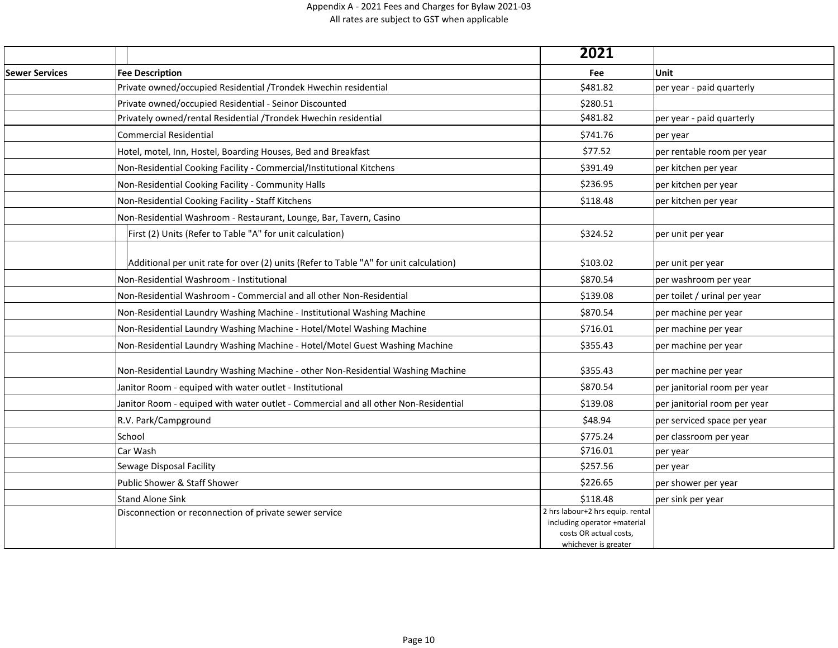|                       |                                                                                       | 2021                                                                                                               |                              |
|-----------------------|---------------------------------------------------------------------------------------|--------------------------------------------------------------------------------------------------------------------|------------------------------|
| <b>Sewer Services</b> | <b>Fee Description</b>                                                                | Fee                                                                                                                | Unit                         |
|                       | Private owned/occupied Residential /Trondek Hwechin residential                       | \$481.82                                                                                                           | per year - paid quarterly    |
|                       | Private owned/occupied Residential - Seinor Discounted                                | \$280.51                                                                                                           |                              |
|                       | Privately owned/rental Residential /Trondek Hwechin residential                       | \$481.82                                                                                                           | per year - paid quarterly    |
|                       | <b>Commercial Residential</b>                                                         | \$741.76                                                                                                           | per year                     |
|                       | Hotel, motel, Inn, Hostel, Boarding Houses, Bed and Breakfast                         | \$77.52                                                                                                            | per rentable room per year   |
|                       | Non-Residential Cooking Facility - Commercial/Institutional Kitchens                  | \$391.49                                                                                                           | per kitchen per year         |
|                       | Non-Residential Cooking Facility - Community Halls                                    | \$236.95                                                                                                           | per kitchen per year         |
|                       | Non-Residential Cooking Facility - Staff Kitchens                                     | \$118.48                                                                                                           | per kitchen per year         |
|                       | Non-Residential Washroom - Restaurant, Lounge, Bar, Tavern, Casino                    |                                                                                                                    |                              |
|                       | First (2) Units (Refer to Table "A" for unit calculation)                             | \$324.52                                                                                                           | per unit per year            |
|                       |                                                                                       |                                                                                                                    |                              |
|                       | Additional per unit rate for over (2) units (Refer to Table "A" for unit calculation) | \$103.02                                                                                                           | per unit per year            |
|                       | Non-Residential Washroom - Institutional                                              | \$870.54                                                                                                           | per washroom per year        |
|                       | Non-Residential Washroom - Commercial and all other Non-Residential                   | \$139.08                                                                                                           | per toilet / urinal per year |
|                       | Non-Residential Laundry Washing Machine - Institutional Washing Machine               | \$870.54                                                                                                           | per machine per year         |
|                       | Non-Residential Laundry Washing Machine - Hotel/Motel Washing Machine                 | \$716.01                                                                                                           | per machine per year         |
|                       | Non-Residential Laundry Washing Machine - Hotel/Motel Guest Washing Machine           | \$355.43                                                                                                           | per machine per year         |
|                       | Non-Residential Laundry Washing Machine - other Non-Residential Washing Machine       | \$355.43                                                                                                           | per machine per year         |
|                       | Janitor Room - equiped with water outlet - Institutional                              | \$870.54                                                                                                           | per janitorial room per year |
|                       | Janitor Room - equiped with water outlet - Commercial and all other Non-Residential   | \$139.08                                                                                                           | per janitorial room per year |
|                       | R.V. Park/Campground                                                                  | \$48.94                                                                                                            | per serviced space per year  |
|                       | School                                                                                | \$775.24                                                                                                           | per classroom per year       |
|                       | Car Wash                                                                              | \$716.01                                                                                                           | per year                     |
|                       | Sewage Disposal Facility                                                              | \$257.56                                                                                                           | per year                     |
|                       | Public Shower & Staff Shower                                                          | \$226.65                                                                                                           | per shower per year          |
|                       | <b>Stand Alone Sink</b>                                                               | \$118.48                                                                                                           | per sink per year            |
|                       | Disconnection or reconnection of private sewer service                                | 2 hrs labour+2 hrs equip. rental<br>including operator +material<br>costs OR actual costs,<br>whichever is greater |                              |